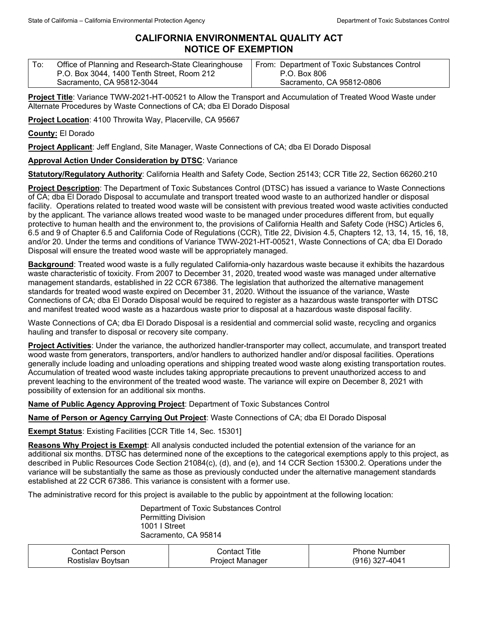## **CALIFORNIA ENVIRONMENTAL QUALITY ACT NOTICE OF EXEMPTION**

| ' To: | Office of Planning and Research-State Clearinghouse | From: Department of Toxic Substances Control |
|-------|-----------------------------------------------------|----------------------------------------------|
|       | P.O. Box 3044, 1400 Tenth Street, Room 212          | P.O. Box 806                                 |
|       | Sacramento, CA 95812-3044                           | Sacramento, CA 95812-0806                    |

**Project Title**: Variance TWW-2021-HT-00521 to Allow the Transport and Accumulation of Treated Wood Waste under Alternate Procedures by Waste Connections of CA; dba El Dorado Disposal

**Project Location**: 4100 Throwita Way, Placerville, CA 95667

**County:** El Dorado

**Project Applicant**: Jeff England, Site Manager, Waste Connections of CA; dba El Dorado Disposal

## **Approval Action Under Consideration by DTSC**: Variance

**Statutory/Regulatory Authority**: California Health and Safety Code, Section 25143; CCR Title 22, Section 66260.210

**Project Description**: The Department of Toxic Substances Control (DTSC) has issued a variance to Waste Connections of CA; dba El Dorado Disposal to accumulate and transport treated wood waste to an authorized handler or disposal facility. Operations related to treated wood waste will be consistent with previous treated wood waste activities conducted by the applicant. The variance allows treated wood waste to be managed under procedures different from, but equally protective to human health and the environment to, the provisions of California Health and Safety Code (HSC) Articles 6, 6.5 and 9 of Chapter 6.5 and California Code of Regulations (CCR), Title 22, Division 4.5, Chapters 12, 13, 14, 15, 16, 18, and/or 20. Under the terms and conditions of Variance TWW-2021-HT-00521, Waste Connections of CA; dba El Dorado Disposal will ensure the treated wood waste will be appropriately managed.

**Background**: Treated wood waste is a fully regulated California-only hazardous waste because it exhibits the hazardous waste characteristic of toxicity. From 2007 to December 31, 2020, treated wood waste was managed under alternative management standards, established in 22 CCR 67386. The legislation that authorized the alternative management standards for treated wood waste expired on December 31, 2020. Without the issuance of the variance, Waste Connections of CA; dba El Dorado Disposal would be required to register as a hazardous waste transporter with DTSC and manifest treated wood waste as a hazardous waste prior to disposal at a hazardous waste disposal facility.

Waste Connections of CA; dba El Dorado Disposal is a residential and commercial solid waste, recycling and organics hauling and transfer to disposal or recovery site company.

**Project Activities**: Under the variance, the authorized handler-transporter may collect, accumulate, and transport treated wood waste from generators, transporters, and/or handlers to authorized handler and/or disposal facilities. Operations generally include loading and unloading operations and shipping treated wood waste along existing transportation routes. Accumulation of treated wood waste includes taking appropriate precautions to prevent unauthorized access to and prevent leaching to the environment of the treated wood waste. The variance will expire on December 8, 2021 with possibility of extension for an additional six months.

**Name of Public Agency Approving Project**: Department of Toxic Substances Control

**Name of Person or Agency Carrying Out Project**: Waste Connections of CA; dba El Dorado Disposal

**Exempt Status**: Existing Facilities [CCR Title 14, Sec. 15301]

**Reasons Why Project is Exempt**: All analysis conducted included the potential extension of the variance for an additional six months. DTSC has determined none of the exceptions to the categorical exemptions apply to this project, as described in Public Resources Code Section 21084(c), (d), and (e), and 14 CCR Section 15300.2. Operations under the variance will be substantially the same as those as previously conducted under the alternative management standards established at 22 CCR 67386. This variance is consistent with a former use.

The administrative record for this project is available to the public by appointment at the following location:

Department of Toxic Substances Control Permitting Division 1001 I Street Sacramento, CA 95814

| Contact Person    | Contact Title   | <b>Phone Number</b> |
|-------------------|-----------------|---------------------|
| Rostislav Bovtsan | Project Manager | (916) 327-4041      |